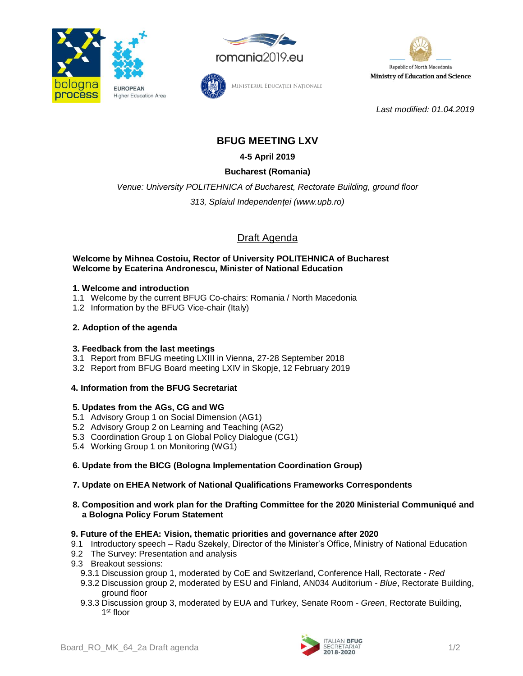





*Last modified: 01.04.2019*

# **BFUG MEETING LXV**

Ministerul Educației Naționale

**4-5 April 2019**

# **Bucharest (Romania)**

*Venue: University POLITEHNICA of Bucharest, Rectorate Building, ground floor*

*313, Splaiul Independenței (www.upb.ro)*

# Draft Agenda

#### **Welcome by Mihnea Costoiu, Rector of University POLITEHNICA of Bucharest Welcome by Ecaterina Andronescu, Minister of National Education**

### **1. Welcome and introduction**

- 1.1 Welcome by the current BFUG Co-chairs: Romania / North Macedonia
- 1.2 Information by the BFUG Vice-chair (Italy)

# **2. Adoption of the agenda**

# **3. Feedback from the last meetings**

- 3.1 Report from BFUG meeting LXIII in Vienna, 27-28 September 2018
- 3.2 Report from BFUG Board meeting LXIV in Skopje, 12 February 2019

# **4. Information from the BFUG Secretariat**

#### **5. Updates from the AGs, CG and WG**

- 5.1 Advisory Group 1 on Social Dimension (AG1)
- 5.2 Advisory Group 2 on Learning and Teaching (AG2)
- 5.3 Coordination Group 1 on Global Policy Dialogue (CG1)
- 5.4 Working Group 1 on Monitoring (WG1)

# **6. Update from the BICG (Bologna Implementation Coordination Group)**

# **7. Update on EHEA Network of National Qualifications Frameworks Correspondents**

**8. Composition and work plan for the Drafting Committee for the 2020 Ministerial Communiqué and a Bologna Policy Forum Statement**

#### **9. Future of the EHEA: Vision, thematic priorities and governance after 2020**

- 9.1 Introductory speech Radu Szekely, Director of the Minister's Office, Ministry of National Education
- 9.2 The Survey: Presentation and analysis
- 9.3 Breakout sessions:
	- 9.3.1 Discussion group 1, moderated by CoE and Switzerland, Conference Hall, Rectorate *Red*
	- 9.3.2 Discussion group 2, moderated by ESU and Finland, AN034 Auditorium *Blue*, Rectorate Building, ground floor
	- 9.3.3 Discussion group 3, moderated by EUA and Turkey, Senate Room *Green*, Rectorate Building, 1<sup>st</sup> floor